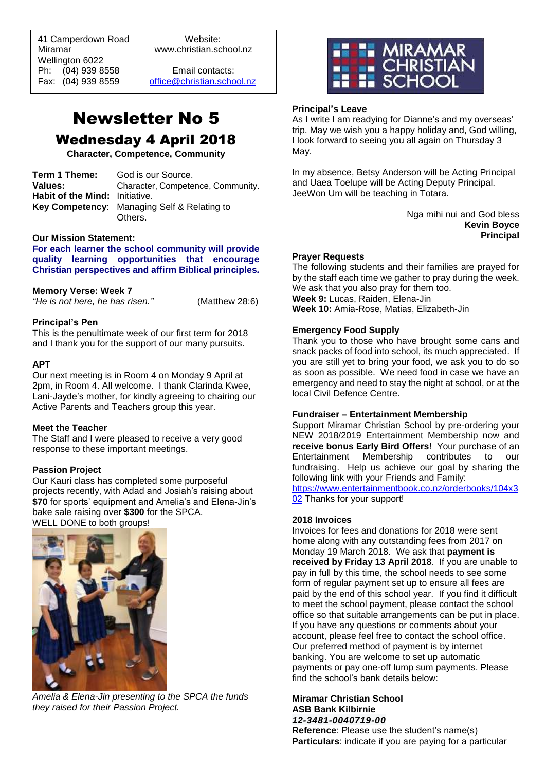41 Camperdown Road Website: Miramar www.christian.school.nz Wellington 6022 Ph: (04) 939 8558 Email contacts:

 $\overline{a}$ 

Fax: (04) 939 8559 [office@christian.school.nz](mailto:office@christian.school.nz)

# Newsletter No 5 Wednesday 4 April 2018

**Character, Competence, Community**

| Term 1 Theme:                  | God is our Source.                          |
|--------------------------------|---------------------------------------------|
| Values:                        | Character, Competence, Community.           |
| Habit of the Mind: Initiative. |                                             |
|                                | Key Competency: Managing Self & Relating to |
|                                | Others.                                     |

## **Our Mission Statement:**

**For each learner the school community will provide quality learning opportunities that encourage Christian perspectives and affirm Biblical principles***.*

## **Memory Verse: Week 7**

*"He is not here, he has risen."* (Matthew 28:6)

## **Principal's Pen**

This is the penultimate week of our first term for 2018 and I thank you for the support of our many pursuits.

## **APT**

Our next meeting is in Room 4 on Monday 9 April at 2pm, in Room 4. All welcome. I thank Clarinda Kwee, Lani-Jayde's mother, for kindly agreeing to chairing our Active Parents and Teachers group this year.

#### **Meet the Teacher**

The Staff and I were pleased to receive a very good response to these important meetings.

## **Passion Project**

Our Kauri class has completed some purposeful projects recently, with Adad and Josiah's raising about **\$70** for sports' equipment and Amelia's and Elena-Jin's bake sale raising over **\$300** for the SPCA.

WELL DONE to both groups!



*Amelia & Elena-Jin presenting to the SPCA the funds they raised for their Passion Project.*



# **Principal's Leave**

As I write I am readying for Dianne's and my overseas' trip. May we wish you a happy holiday and, God willing, I look forward to seeing you all again on Thursday 3 May.

In my absence, Betsy Anderson will be Acting Principal and Uaea Toelupe will be Acting Deputy Principal. JeeWon Um will be teaching in Totara.

> Nga mihi nui and God bless **Kevin Boyce Principal**

## **Prayer Requests**

The following students and their families are prayed for by the staff each time we gather to pray during the week. We ask that you also pray for them too. **Week 9:** Lucas, Raiden, Elena-Jin **Week 10:** Amia-Rose, Matias, Elizabeth-Jin

## **Emergency Food Supply**

Thank you to those who have brought some cans and snack packs of food into school, its much appreciated. If you are still yet to bring your food, we ask you to do so as soon as possible. We need food in case we have an emergency and need to stay the night at school, or at the local Civil Defence Centre.

#### **Fundraiser – Entertainment Membership**

Support Miramar Christian School by pre-ordering your NEW 2018/2019 Entertainment Membership now and **receive bonus Early Bird Offers**! Your purchase of an Entertainment Membership contributes to our fundraising. Help us achieve our goal by sharing the following link with your Friends and Family: [https://www.entertainmentbook.co.nz/orderbooks/104x3](https://www.entertainmentbook.co.nz/orderbooks/104x302)

[02](https://www.entertainmentbook.co.nz/orderbooks/104x302) Thanks for your support!

## **2018 Invoices**

Invoices for fees and donations for 2018 were sent home along with any outstanding fees from 2017 on Monday 19 March 2018. We ask that **payment is received by Friday 13 April 2018**. If you are unable to pay in full by this time, the school needs to see some form of regular payment set up to ensure all fees are paid by the end of this school year. If you find it difficult to meet the school payment, please contact the school office so that suitable arrangements can be put in place. If you have any questions or comments about your account, please feel free to contact the school office. Our preferred method of payment is by internet banking. You are welcome to set up automatic payments or pay one-off lump sum payments. Please find the school's bank details below:

#### **Miramar Christian School ASB Bank Kilbirnie**  *12-3481-0040719-00*

**Reference**: Please use the student's name(s) **Particulars**: indicate if you are paying for a particular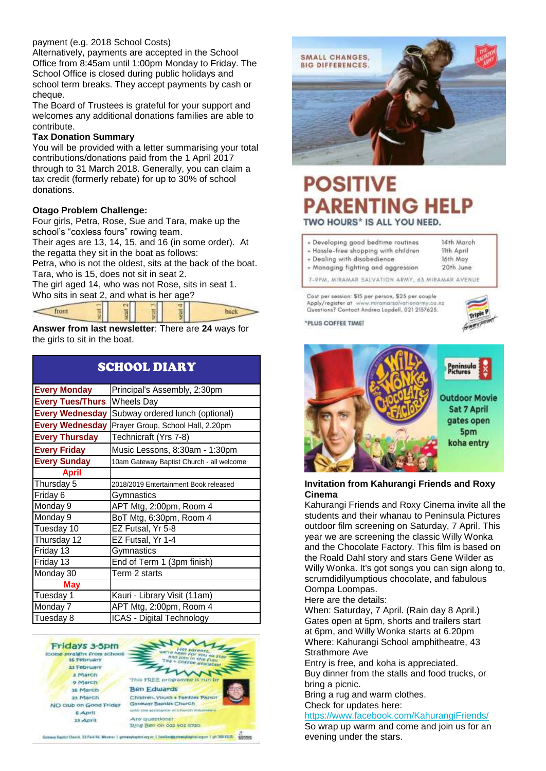# payment (e.g. 2018 School Costs)

Alternatively, payments are accepted in the School Office from 8:45am until 1:00pm Monday to Friday. The School Office is closed during public holidays and school term breaks. They accept payments by cash or cheque.

The Board of Trustees is grateful for your support and welcomes any additional donations families are able to contribute.

## **Tax Donation Summary**

You will be provided with a letter summarising your total contributions/donations paid from the 1 April 2017 through to 31 March 2018. Generally, you can claim a tax credit (formerly rebate) for up to 30% of school donations.

## **Otago Problem Challenge:**

Four girls, Petra, Rose, Sue and Tara, make up the school's "coxless fours" rowing team.

Their ages are 13, 14, 15, and 16 (in some order). At the regatta they sit in the boat as follows:

Petra, who is not the oldest, sits at the back of the boat. Tara, who is 15, does not sit in seat 2.

The girl aged 14, who was not Rose, sits in seat 1. Who sits in seat 2, and what is her age?



**Answer from last newsletter**: There are **24** ways for the girls to sit in the boat.

| <b>SCHOOL DIARY</b>     |                                           |
|-------------------------|-------------------------------------------|
| <b>Every Monday</b>     | Principal's Assembly, 2:30pm              |
| <b>Every Tues/Thurs</b> | <b>Wheels Day</b>                         |
| <b>Every Wednesday</b>  | Subway ordered lunch (optional)           |
| <b>Every Wednesday</b>  | Prayer Group, School Hall, 2.20pm         |
| <b>Every Thursday</b>   | Technicraft (Yrs 7-8)                     |
| <b>Every Friday</b>     | Music Lessons, 8:30am - 1:30pm            |
| <b>Every Sunday</b>     | 10am Gateway Baptist Church - all welcome |
| <b>April</b>            |                                           |
| Thursday 5              | 2018/2019 Entertainment Book released     |
| Friday 6                | Gymnastics                                |
| Monday 9                | APT Mtg, 2:00pm, Room 4                   |
| Monday 9                | BoT Mtg, 6:30pm, Room 4                   |
| Tuesday 10              | EZ Futsal, Yr 5-8                         |
| Thursday 12             | EZ Futsal, Yr 1-4                         |
| Friday 13               | Gymnastics                                |
| Friday 13               | End of Term 1 (3pm finish)                |
| Monday 30               | Term 2 starts                             |
| May                     |                                           |
| Tuesday 1               | Kauri - Library Visit (11am)              |
| Monday 7                | APT Mtg, 2:00pm, Room 4                   |
| Tuesday 8               | ICAS - Digital Technology                 |

Fridays 3-5pm (come straight from school) **16 February** 23 February a March o March 16 March 23 March NO club on Good Friday 6 April 13 April





back

Ring Ben on o22 yo1 5720

Galewie Baptist Cherch, 33 Park Rd, Miraman II getreinshiptisturgund 1 Sandbridgischwashiptisturgund (str.200 ESSS) Supporte



# **POSITIVE PARENTING HELP** TWO HOURS\* IS ALL YOU NEED.

- + Developing good bedtime routines
- + Hassle-free shopping with children + Dealing with disobedience
- + Managing fighting and aggression

7-9PM, MIRAMAR SALVATION ARMY, 63 MIRAMAR AVENUE

Cost per session: \$15 per person, \$25 per couple Apply/register at www.miramarsalvationarmy.co.



14th March **Bith Arvil** 

16th May

20th June

\*PLUS COFFEE TIME!



## **Invitation from Kahurangi Friends and Roxy Cinema**

Kahurangi Friends and Roxy Cinema invite all the students and their whanau to Peninsula Pictures outdoor film screening on Saturday, 7 April. This year we are screening the classic Willy Wonka and the Chocolate Factory. This film is based on the Roald Dahl story and stars Gene Wilder as Willy Wonka. It's got songs you can sign along to, scrumdidilyumptious chocolate, and fabulous Oompa Loompas.

Here are the details:

When: Saturday, 7 April. (Rain day 8 April.) Gates open at 5pm, shorts and trailers start at 6pm, and Willy Wonka starts at 6.20pm Where: Kahurangi School amphitheatre, [43](https://kahurangifriends.us10.list-manage.com/track/click?u=7d0455c9fa6f3be1847c67d5e&id=e160b2ef3c&e=5a233dffc4)  [Strathmore Ave](https://kahurangifriends.us10.list-manage.com/track/click?u=7d0455c9fa6f3be1847c67d5e&id=e160b2ef3c&e=5a233dffc4)

Entry is free, and koha is appreciated. Buy dinner from the stalls and food trucks, or bring a picnic.

Bring a rug and warm clothes. Check for updates here:

[https://www.facebook.com/KahurangiFriends/](https://kahurangifriends.us10.list-manage.com/track/click?u=7d0455c9fa6f3be1847c67d5e&id=9dd2bf6ddc&e=5a233dffc4) So wrap up warm and come and join us for an

evening under the stars.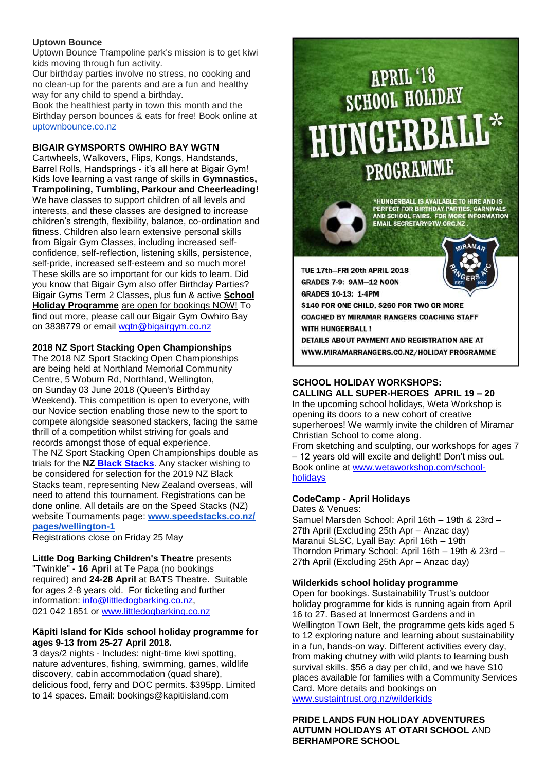# **Uptown Bounce**

Uptown Bounce Trampoline park's mission is to get kiwi kids moving through fun activity.

Our birthday parties involve no stress, no cooking and no clean-up for the parents and are a fun and healthy way for any child to spend a birthday.

Book the healthiest party in town this month and the Birthday person bounces & eats for free! Book online at [uptownbounce.co.nz](http://uptownbounce.co.nz/)

# **BIGAIR GYMSPORTS OWHIRO BAY WGTN**

Cartwheels, Walkovers, Flips, Kongs, Handstands, Barrel Rolls, Handsprings - it's all here at Bigair Gym! Kids love learning a vast range of skills in **Gymnastics, Trampolining, Tumbling, Parkour and Cheerleading!** We have classes to support children of all levels and interests, and these classes are designed to increase children's strength, flexibility, balance, co-ordination and fitness. Children also learn extensive personal skills from Bigair Gym Classes, including increased selfconfidence, self-reflection, listening skills, persistence, self-pride, increased self-esteem and so much more! These skills are so important for our kids to learn. Did you know that Bigair Gym also offer Birthday Parties? Bigair Gyms Term 2 Classes, plus fun & active **School Holiday Programme** are open for bookings NOW! To find out more, please call our Bigair Gym Owhiro Bay on 3838779 or email [wgtn@bigairgym.co.nz](mailto:wgtn@bigairgym.co.nz)

# **2018 NZ Sport Stacking Open Championships**

The 2018 NZ Sport Stacking Open Championships are being held at Northland Memorial Community Centre, 5 Woburn Rd, Northland, Wellington, on Sunday 03 June 2018 (Queen's Birthday Weekend). This competition is open to everyone, with our Novice section enabling those new to the sport to compete alongside seasoned stackers, facing the same thrill of a competition whilst striving for goals and records amongst those of equal experience. The NZ Sport Stacking Open Championships double as trials for the **NZ Black [Stacks](http://newzealandblackstacks.wikispaces.com/)**. Any stacker wishing to be considered for selection for the 2019 NZ Black Stacks team, representing New Zealand overseas, will need to attend this tournament. Registrations can be done online. All details are on the Speed Stacks (NZ) website Tournaments page: **[www.speedstacks.co.nz/](http://www.speedstacks.co.nz/pages/wellington-1) [pages/wellington-1](http://www.speedstacks.co.nz/pages/wellington-1)**

Registrations close on Friday 25 May

**Little Dog Barking Children's Theatre** presents "Twinkle" - **16 April** at Te Papa (no bookings required) and **24-28 April** at BATS Theatre. Suitable for ages 2-8 years old. For ticketing and further information: [info@littledogbarking.co.nz,](mailto:info@littledogbarking.co.nz) 021 042 1851 or [www.littledogbarking.co.nz](http://www.littledogbarking.co.nz/)

# **Kāpiti Island for Kids school holiday programme for ages 9-13 from 25-27 April 2018.**

3 days/2 nights - Includes: night-time kiwi spotting, nature adventures, fishing, swimming, games, wildlife discovery, cabin accommodation (quad share), delicious food, ferry and DOC permits. \$395pp. Limited to 14 spaces. Email: [bookings@kapitiisland.com](mailto:bookings@kapitiisland.com)

# **APRIL '18<br>SCHOOL HOLIDAY** HUNGERBA PROGRAMME

\*HUNGERBALL IS AVAILABLE TO HIRE AND IS<br>PERFECT FOR BIRTHDAY PARTIES, CARNIVALS<br>AND SCHOOL FAIRS. FOR MORE INFORMATION<br>EMAIL SECRETARY@TW.ORG.NZ .

TUE 17th-FRI 20th APRIL 2018 **GRADES 7-9: 9AM-12 NOON GRADES 10-13: 1-4PM** \$140 FOR ONE CHILD, \$260 FOR TWO OR MORE **COACHED BY MIRAMAR RANGERS COACHING STAFF** WITH HUNGERRALL I

DETAILS ABOUT PAYMENT AND REGISTRATION ARE AT WWW.MIRAMARRANGERS.CO.NZ/HOLIDAY PROGRAMME

# **SCHOOL HOLIDAY WORKSHOPS:**

**CALLING ALL SUPER-HEROES APRIL 19 – 20** In the upcoming school holidays, Weta Workshop is opening its doors to a new cohort of creative superheroes! We warmly invite the children of Miramar Christian School to come along. From sketching and sculpting, our workshops for ages 7

– 12 years old will excite and delight! Don't miss out. Book online at [www.wetaworkshop.com/school](http://www.wetaworkshop.com/school-holidays)[holidays](http://www.wetaworkshop.com/school-holidays)

# **CodeCamp - April Holidays**

Dates & Venues: Samuel Marsden School: April 16th – 19th & 23rd – 27th April (Excluding 25th Apr – Anzac day) Maranui SLSC, Lyall Bay: April 16th – 19th Thorndon Primary School: April 16th – 19th & 23rd – 27th April (Excluding 25th Apr – Anzac day)

# **Wilderkids school holiday programme**

Open for bookings. Sustainability Trust's outdoor holiday programme for kids is running again from April 16 to 27. Based at Innermost Gardens and in Wellington Town Belt, the programme gets kids aged 5 to 12 exploring nature and learning about sustainability in a fun, hands-on way. Different activities every day, from making chutney with wild plants to learning bush survival skills. \$56 a day per child, and we have \$10 places available for families with a Community Services Card. More details and bookings on [www.sustaintrust.org.nz/wilderkids](http://www.sustaintrust.org.nz/wilderkids)

**PRIDE LANDS FUN HOLIDAY ADVENTURES AUTUMN HOLIDAYS AT OTARI SCHOOL** AND **BERHAMPORE SCHOOL**